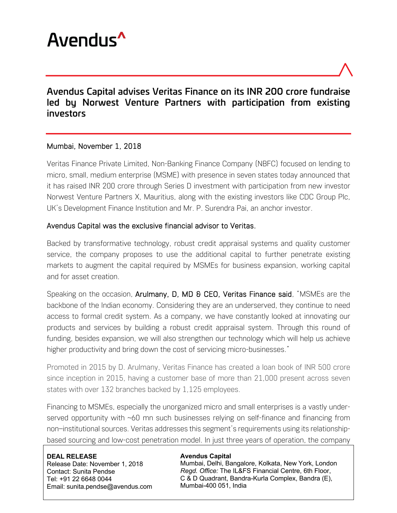

# Avendus Capital advises Veritas Finance on its INR 200 crore fundraise led by Norwest Venture Partners with participation from existing investors

### Mumbai, November 1, 2018

Veritas Finance Private Limited, Non-Banking Finance Company (NBFC) focused on lending to micro, small, medium enterprise (MSME) with presence in seven states today announced that it has raised INR 200 crore through Series D investment with participation from new investor Norwest Venture Partners X, Mauritius, along with the existing investors like CDC Group Plc, UK's Development Finance Institution and Mr. P. Surendra Pai, an anchor investor.

### Avendus Capital was the exclusive financial advisor to Veritas.

Backed by transformative technology, robust credit appraisal systems and quality customer service, the company proposes to use the additional capital to further penetrate existing markets to augment the capital required by MSMEs for business expansion, working capital and for asset creation.

Speaking on the occasion, Arulmany, D, MD & CEO, Veritas Finance said, "MSMEs are the backbone of the Indian economy. Considering they are an underserved, they continue to need access to formal credit system. As a company, we have constantly looked at innovating our products and services by building a robust credit appraisal system. Through this round of funding, besides expansion, we will also strengthen our technology which will help us achieve higher productivity and bring down the cost of servicing micro-businesses."

Promoted in 2015 by D. Arulmany, Veritas Finance has created a loan book of INR 500 crore since inception in 2015, having a customer base of more than 21,000 present across seven states with over 132 branches backed by 1,125 employees.

Financing to MSMEs, especially the unorganized micro and small enterprises is a vastly underserved opportunity with ~60 mn such businesses relying on self-finance and financing from non–institutional sources. Veritas addresses this segment's requirements using its relationshipbased sourcing and low-cost penetration model. In just three years of operation, the company

**DEAL RELEASE** Release Date: November 1, 2018 Contact: Sunita Pendse Tel: +91 22 6648 0044 Email: sunita.pendse@avendus.com

#### **Avendus Capital**

Mumbai, Delhi, Bangalore, Kolkata, New York, London *Regd. Office:* The IL&FS Financial Centre, 6th Floor, C & D Quadrant, Bandra-Kurla Complex, Bandra (E), Mumbai-400 051, India